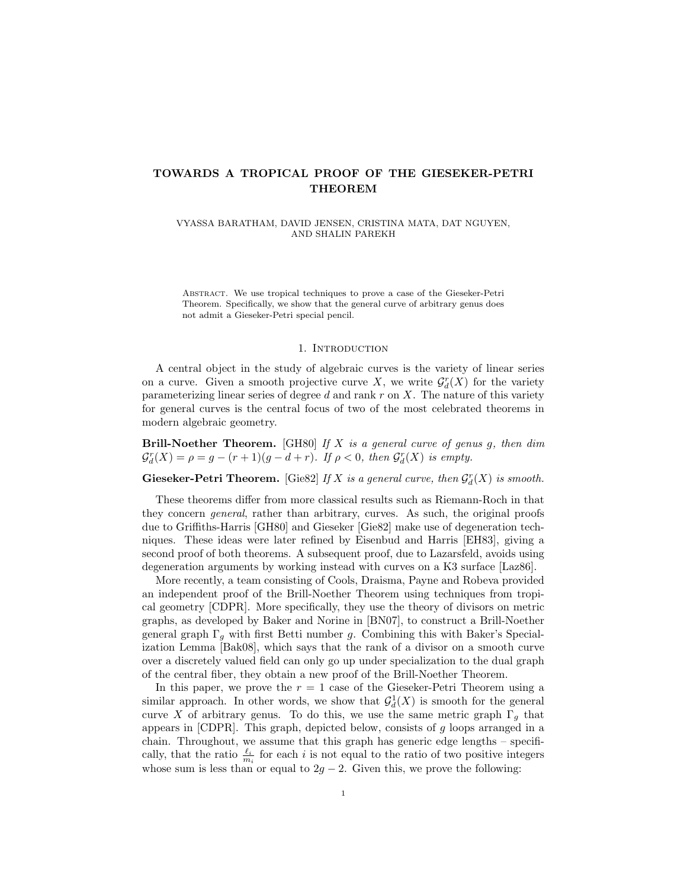# TOWARDS A TROPICAL PROOF OF THE GIESEKER-PETRI THEOREM

VYASSA BARATHAM, DAVID JENSEN, CRISTINA MATA, DAT NGUYEN, AND SHALIN PAREKH

Abstract. We use tropical techniques to prove a case of the Gieseker-Petri Theorem. Specifically, we show that the general curve of arbitrary genus does not admit a Gieseker-Petri special pencil.

### 1. Introduction

A central object in the study of algebraic curves is the variety of linear series on a curve. Given a smooth projective curve X, we write  $\mathcal{G}_d^r(X)$  for the variety parameterizing linear series of degree  $d$  and rank  $r$  on  $X$ . The nature of this variety for general curves is the central focus of two of the most celebrated theorems in modern algebraic geometry.

**Brill-Noether Theorem.** [GH80] If X is a general curve of genus g, then dim  $\mathcal{G}_d^r(X) = \rho = g - (r+1)(g-d+r)$ . If  $\rho < 0$ , then  $\mathcal{G}_d^r(X)$  is empty.

Gieseker-Petri Theorem. [Gie82] If X is a general curve, then  $\mathcal{G}^r_d(X)$  is smooth.

These theorems differ from more classical results such as Riemann-Roch in that they concern general, rather than arbitrary, curves. As such, the original proofs due to Griffiths-Harris [GH80] and Gieseker [Gie82] make use of degeneration techniques. These ideas were later refined by Eisenbud and Harris [EH83], giving a second proof of both theorems. A subsequent proof, due to Lazarsfeld, avoids using degeneration arguments by working instead with curves on a K3 surface [Laz86].

More recently, a team consisting of Cools, Draisma, Payne and Robeva provided an independent proof of the Brill-Noether Theorem using techniques from tropical geometry [CDPR]. More specifically, they use the theory of divisors on metric graphs, as developed by Baker and Norine in [BN07], to construct a Brill-Noether general graph  $\Gamma_q$  with first Betti number g. Combining this with Baker's Specialization Lemma [Bak08], which says that the rank of a divisor on a smooth curve over a discretely valued field can only go up under specialization to the dual graph of the central fiber, they obtain a new proof of the Brill-Noether Theorem.

In this paper, we prove the  $r = 1$  case of the Gieseker-Petri Theorem using a similar approach. In other words, we show that  $\mathcal{G}_d^1(X)$  is smooth for the general curve X of arbitrary genus. To do this, we use the same metric graph  $\Gamma_g$  that appears in  $[CDPR]$ . This graph, depicted below, consists of g loops arranged in a chain. Throughout, we assume that this graph has generic edge lengths – specifically, that the ratio  $\frac{\ell_i}{m_i}$  for each i is not equal to the ratio of two positive integers whose sum is less than or equal to  $2g - 2$ . Given this, we prove the following: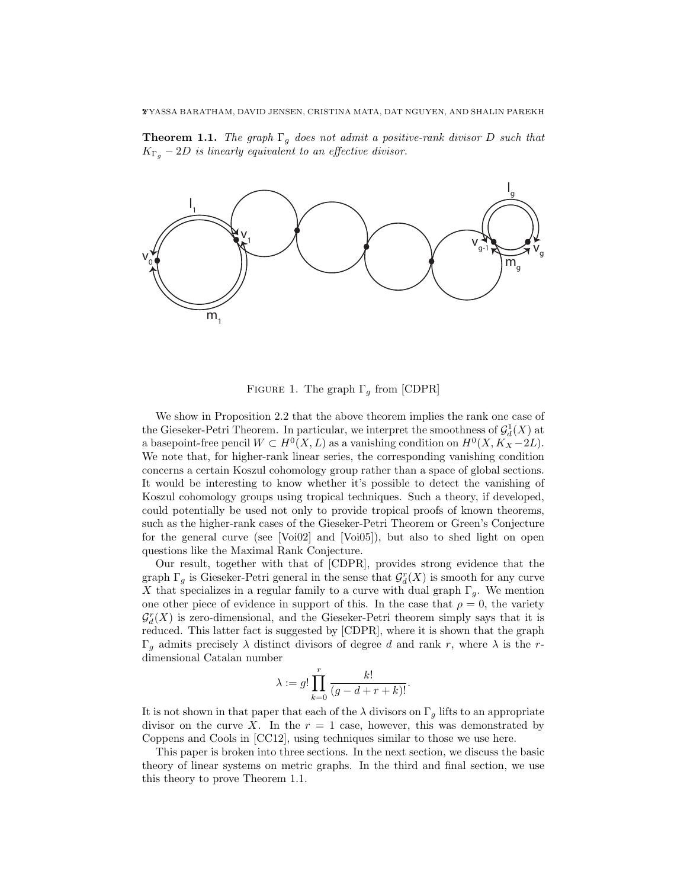**Theorem 1.1.** The graph  $\Gamma_q$  does not admit a positive-rank divisor D such that  $K_{\Gamma_q}$  – 2D is linearly equivalent to an effective divisor.



FIGURE 1. The graph  $\Gamma_g$  from [CDPR]

We show in Proposition 2.2 that the above theorem implies the rank one case of the Gieseker-Petri Theorem. In particular, we interpret the smoothness of  $\mathcal{G}_d^1(X)$  at a basepoint-free pencil  $W \subset H^0(X, L)$  as a vanishing condition on  $H^0(X, K_X - 2L)$ . We note that, for higher-rank linear series, the corresponding vanishing condition concerns a certain Koszul cohomology group rather than a space of global sections. It would be interesting to know whether it's possible to detect the vanishing of Koszul cohomology groups using tropical techniques. Such a theory, if developed, could potentially be used not only to provide tropical proofs of known theorems, such as the higher-rank cases of the Gieseker-Petri Theorem or Green's Conjecture for the general curve (see [Voi02] and [Voi05]), but also to shed light on open questions like the Maximal Rank Conjecture.

Our result, together with that of [CDPR], provides strong evidence that the graph  $\Gamma_g$  is Gieseker-Petri general in the sense that  $\mathcal{G}_d^r(X)$  is smooth for any curve X that specializes in a regular family to a curve with dual graph  $\Gamma_g$ . We mention one other piece of evidence in support of this. In the case that  $\rho = 0$ , the variety  $\mathcal{G}_{d}^{r}(X)$  is zero-dimensional, and the Gieseker-Petri theorem simply says that it is reduced. This latter fact is suggested by [CDPR], where it is shown that the graph  $\Gamma_g$  admits precisely λ distinct divisors of degree d and rank r, where λ is the rdimensional Catalan number

$$
\lambda:=g!\prod_{k=0}^r\frac{k!}{(g-d+r+k)!}.
$$

It is not shown in that paper that each of the  $\lambda$  divisors on  $\Gamma_q$  lifts to an appropriate divisor on the curve X. In the  $r = 1$  case, however, this was demonstrated by Coppens and Cools in [CC12], using techniques similar to those we use here.

This paper is broken into three sections. In the next section, we discuss the basic theory of linear systems on metric graphs. In the third and final section, we use this theory to prove Theorem 1.1.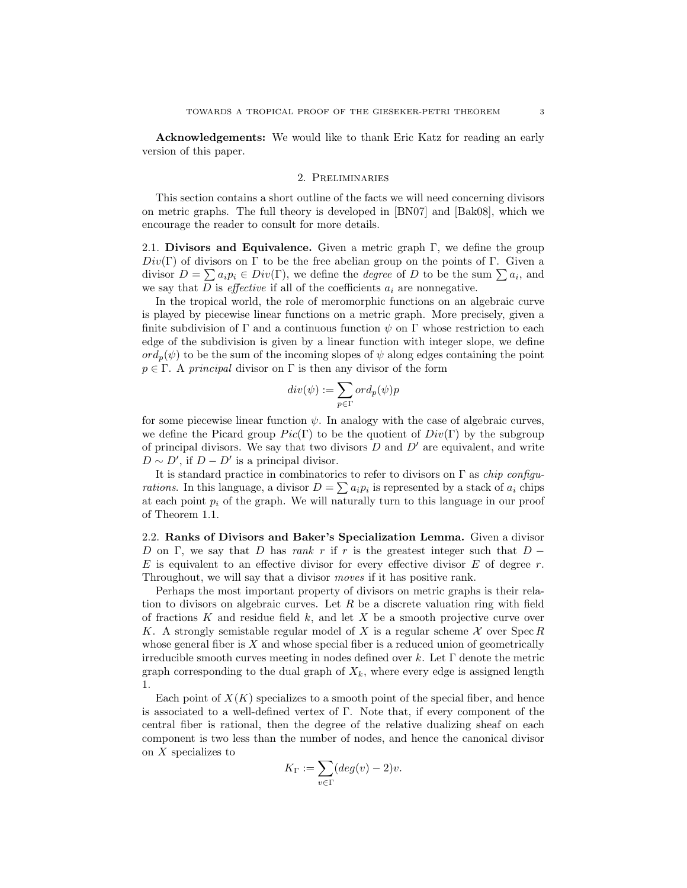Acknowledgements: We would like to thank Eric Katz for reading an early version of this paper.

## 2. Preliminaries

This section contains a short outline of the facts we will need concerning divisors on metric graphs. The full theory is developed in [BN07] and [Bak08], which we encourage the reader to consult for more details.

2.1. Divisors and Equivalence. Given a metric graph  $\Gamma$ , we define the group  $Div(\Gamma)$  of divisors on Γ to be the free abelian group on the points of Γ. Given a divisor  $D = \sum a_i p_i \in Div(\Gamma)$ , we define the *degree* of D to be the sum  $\sum a_i$ , and we say that  $D$  is *effective* if all of the coefficients  $a_i$  are nonnegative.

In the tropical world, the role of meromorphic functions on an algebraic curve is played by piecewise linear functions on a metric graph. More precisely, given a finite subdivision of  $\Gamma$  and a continuous function  $\psi$  on  $\Gamma$  whose restriction to each edge of the subdivision is given by a linear function with integer slope, we define  $\partial \text{ord}_n(\psi)$  to be the sum of the incoming slopes of  $\psi$  along edges containing the point  $p \in \Gamma$ . A principal divisor on  $\Gamma$  is then any divisor of the form

$$
div(\psi):=\sum_{p\in\Gamma}ord_p(\psi)p
$$

for some piecewise linear function  $\psi$ . In analogy with the case of algebraic curves, we define the Picard group  $Pic(\Gamma)$  to be the quotient of  $Div(\Gamma)$  by the subgroup of principal divisors. We say that two divisors  $D$  and  $D'$  are equivalent, and write  $D \sim D'$ , if  $D - D'$  is a principal divisor.

It is standard practice in combinatorics to refer to divisors on  $\Gamma$  as *chip configu*rations. In this language, a divisor  $D = \sum a_i p_i$  is represented by a stack of  $a_i$  chips at each point  $p_i$  of the graph. We will naturally turn to this language in our proof of Theorem 1.1.

2.2. Ranks of Divisors and Baker's Specialization Lemma. Given a divisor D on Γ, we say that D has rank r if r is the greatest integer such that  $D -$ E is equivalent to an effective divisor for every effective divisor  $E$  of degree  $r$ . Throughout, we will say that a divisor moves if it has positive rank.

Perhaps the most important property of divisors on metric graphs is their relation to divisors on algebraic curves. Let  $R$  be a discrete valuation ring with field of fractions K and residue field  $k$ , and let X be a smooth projective curve over K. A strongly semistable regular model of X is a regular scheme  $\mathcal X$  over Spec R whose general fiber is  $X$  and whose special fiber is a reduced union of geometrically irreducible smooth curves meeting in nodes defined over k. Let  $\Gamma$  denote the metric graph corresponding to the dual graph of  $X_k$ , where every edge is assigned length 1.

Each point of  $X(K)$  specializes to a smooth point of the special fiber, and hence is associated to a well-defined vertex of Γ. Note that, if every component of the central fiber is rational, then the degree of the relative dualizing sheaf on each component is two less than the number of nodes, and hence the canonical divisor on X specializes to

$$
K_{\Gamma}:=\sum_{v\in \Gamma}(deg(v)-2)v.
$$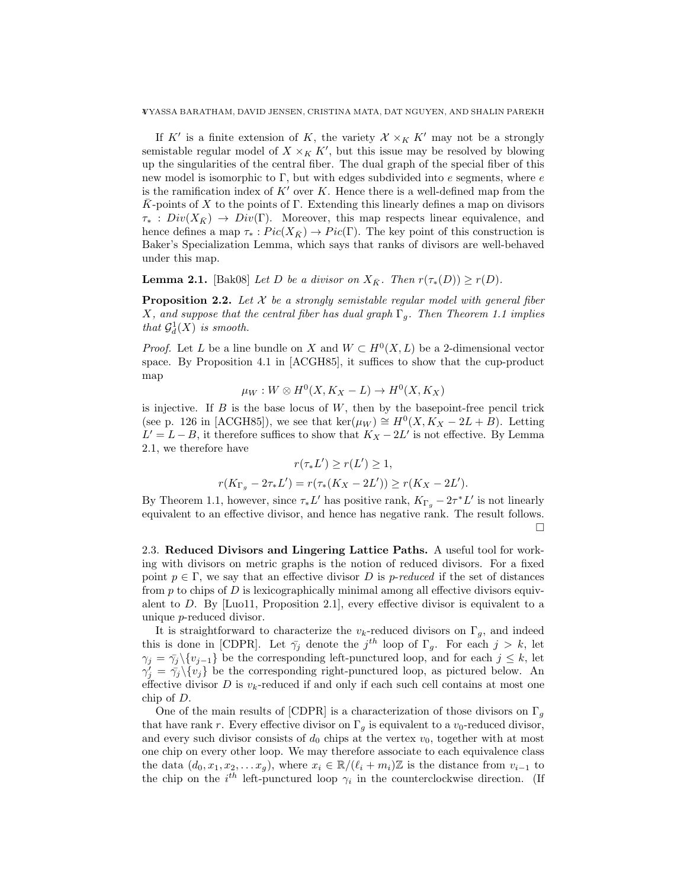4VYASSA BARATHAM, DAVID JENSEN, CRISTINA MATA, DAT NGUYEN, AND SHALIN PAREKH

If K' is a finite extension of K, the variety  $\mathcal{X} \times_K K'$  may not be a strongly semistable regular model of  $X \times_K K'$ , but this issue may be resolved by blowing up the singularities of the central fiber. The dual graph of the special fiber of this new model is isomorphic to  $\Gamma$ , but with edges subdivided into  $e$  segments, where  $e$ is the ramification index of  $K'$  over K. Hence there is a well-defined map from the K-points of X to the points of  $\Gamma$ . Extending this linearly defines a map on divisors  $\tau_* : Div(X_{\bar{K}}) \to Div(\Gamma)$ . Moreover, this map respects linear equivalence, and hence defines a map  $\tau_*: Pic(X_{\bar{K}}) \to Pic(\Gamma)$ . The key point of this construction is Baker's Specialization Lemma, which says that ranks of divisors are well-behaved under this map.

**Lemma 2.1.** [Bak08] Let D be a divisor on  $X_{\bar{K}}$ . Then  $r(\tau_*(D)) \geq r(D)$ .

**Proposition 2.2.** Let  $X$  be a strongly semistable regular model with general fiber X, and suppose that the central fiber has dual graph  $\Gamma_g$ . Then Theorem 1.1 implies that  $\mathcal{G}_d^1(X)$  is smooth.

*Proof.* Let L be a line bundle on X and  $W \subset H^0(X, L)$  be a 2-dimensional vector space. By Proposition 4.1 in [ACGH85], it suffices to show that the cup-product map

$$
\mu_W: W \otimes H^0(X, K_X - L) \to H^0(X, K_X)
$$

is injective. If  $B$  is the base locus of  $W$ , then by the basepoint-free pencil trick (see p. 126 in [ACGH85]), we see that ker( $\mu_W$ )  $\cong H^0(X, K_X - 2L + B)$ . Letting  $L' = L - B$ , it therefore suffices to show that  $K_X - 2L'$  is not effective. By Lemma 2.1, we therefore have

$$
r(\tau_* L') \ge r(L') \ge 1,
$$
  

$$
r(K_{\Gamma_g} - 2\tau_* L') = r(\tau_*(K_X - 2L')) \ge r(K_X - 2L').
$$

By Theorem 1.1, however, since  $\tau_* L'$  has positive rank,  $K_{\Gamma_g} - 2\tau^* L'$  is not linearly equivalent to an effective divisor, and hence has negative rank. The result follows.  $\Box$ 

2.3. Reduced Divisors and Lingering Lattice Paths. A useful tool for working with divisors on metric graphs is the notion of reduced divisors. For a fixed point  $p \in \Gamma$ , we say that an effective divisor D is p-reduced if the set of distances from  $p$  to chips of  $D$  is lexicographically minimal among all effective divisors equivalent to D. By [Luo11, Proposition 2.1], every effective divisor is equivalent to a unique p-reduced divisor.

It is straightforward to characterize the  $v_k$ -reduced divisors on  $\Gamma_g$ , and indeed this is done in [CDPR]. Let  $\bar{\gamma}_j$  denote the  $j^{th}$  loop of  $\Gamma_g$ . For each  $j > k$ , let  $\gamma_j = \bar{\gamma}_j \setminus \{v_{j-1}\}\$ be the corresponding left-punctured loop, and for each  $j \leq k$ , let  $\gamma'_{j} = \bar{\gamma}_{j} \setminus \{v_{j}\}\$ be the corresponding right-punctured loop, as pictured below. An effective divisor  $D$  is  $v_k$ -reduced if and only if each such cell contains at most one chip of D.

One of the main results of [CDPR] is a characterization of those divisors on  $\Gamma_q$ that have rank r. Every effective divisor on  $\Gamma_g$  is equivalent to a  $v_0$ -reduced divisor, and every such divisor consists of  $d_0$  chips at the vertex  $v_0$ , together with at most one chip on every other loop. We may therefore associate to each equivalence class the data  $(d_0, x_1, x_2, \ldots x_q)$ , where  $x_i \in \mathbb{R}/(\ell_i + m_i)\mathbb{Z}$  is the distance from  $v_{i-1}$  to the chip on the  $i^{th}$  left-punctured loop  $\gamma_i$  in the counterclockwise direction. (If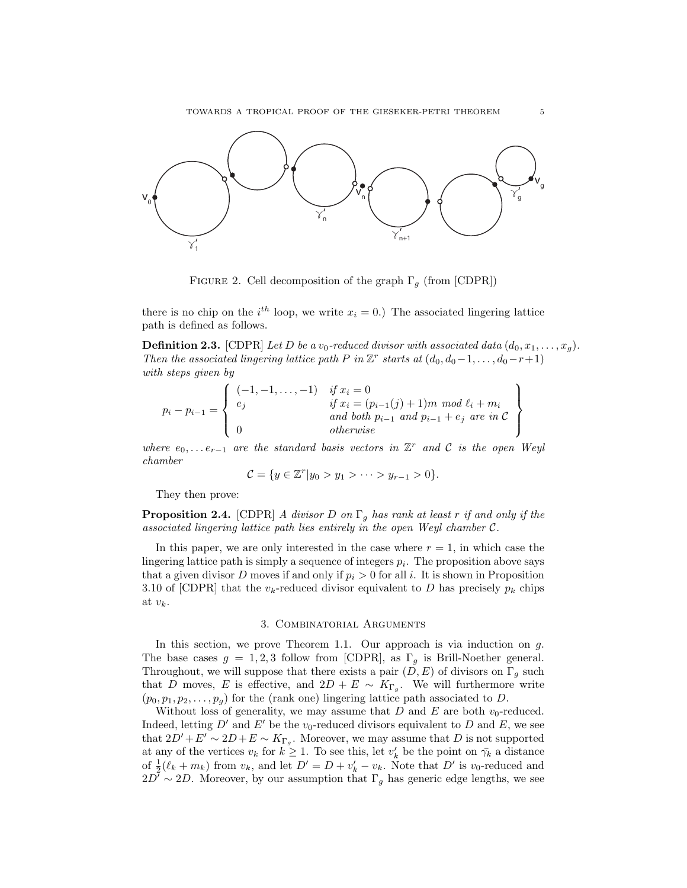

FIGURE 2. Cell decomposition of the graph  $\Gamma_g$  (from [CDPR])

there is no chip on the  $i^{th}$  loop, we write  $x_i = 0$ .) The associated lingering lattice path is defined as follows.

**Definition 2.3.** [CDPR] Let D be a v<sub>0</sub>-reduced divisor with associated data  $(d_0, x_1, \ldots, x_q)$ . Then the associated lingering lattice path P in  $\mathbb{Z}^r$  starts at  $(d_0, d_0-1, \ldots, d_0-r+1)$ with steps given by

$$
p_i - p_{i-1} = \left\{ \begin{array}{ll} (-1, -1, \dots, -1) & \text{if } x_i = 0\\ e_j & \text{if } x_i = (p_{i-1}(j) + 1) m \mod \ell_i + m_i\\ & \text{and both } p_{i-1} \text{ and } p_{i-1} + e_j \text{ are in } C\\ 0 & \text{otherwise} \end{array} \right\}
$$

where  $e_0, \ldots e_{r-1}$  are the standard basis vectors in  $\mathbb{Z}^r$  and  $\mathcal C$  is the open Weyl chamber

$$
C = \{ y \in \mathbb{Z}^r | y_0 > y_1 > \cdots > y_{r-1} > 0 \}.
$$

They then prove:

**Proposition 2.4.** [CDPR] A divisor D on  $\Gamma_g$  has rank at least r if and only if the associated lingering lattice path lies entirely in the open Weyl chamber C.

In this paper, we are only interested in the case where  $r = 1$ , in which case the lingering lattice path is simply a sequence of integers  $p_i$ . The proposition above says that a given divisor D moves if and only if  $p_i > 0$  for all i. It is shown in Proposition 3.10 of [CDPR] that the  $v_k$ -reduced divisor equivalent to D has precisely  $p_k$  chips at  $v_k$ .

### 3. Combinatorial Arguments

In this section, we prove Theorem 1.1. Our approach is via induction on  $g$ . The base cases  $g = 1, 2, 3$  follow from [CDPR], as  $\Gamma_g$  is Brill-Noether general. Throughout, we will suppose that there exists a pair  $(D, E)$  of divisors on  $\Gamma_g$  such that D moves, E is effective, and  $2D + E \sim K_{\Gamma_g}$ . We will furthermore write  $(p_0, p_1, p_2, \ldots, p_q)$  for the (rank one) lingering lattice path associated to D.

Without loss of generality, we may assume that  $D$  and  $E$  are both  $v_0$ -reduced. Indeed, letting  $D'$  and  $E'$  be the  $v_0$ -reduced divisors equivalent to D and E, we see that  $2D' + E' \sim 2D + E \sim K_{\Gamma_g}$ . Moreover, we may assume that D is not supported at any of the vertices  $v_k$  for  $k \geq 1$ . To see this, let  $v'_k$  be the point on  $\bar{\gamma}_k$  a distance of  $\frac{1}{2}(\ell_k + m_k)$  from  $v_k$ , and let  $D' = D + v'_k - v_k$ . Note that  $D'$  is  $v_0$ -reduced and  $2D' \sim 2D$ . Moreover, by our assumption that  $\Gamma_q$  has generic edge lengths, we see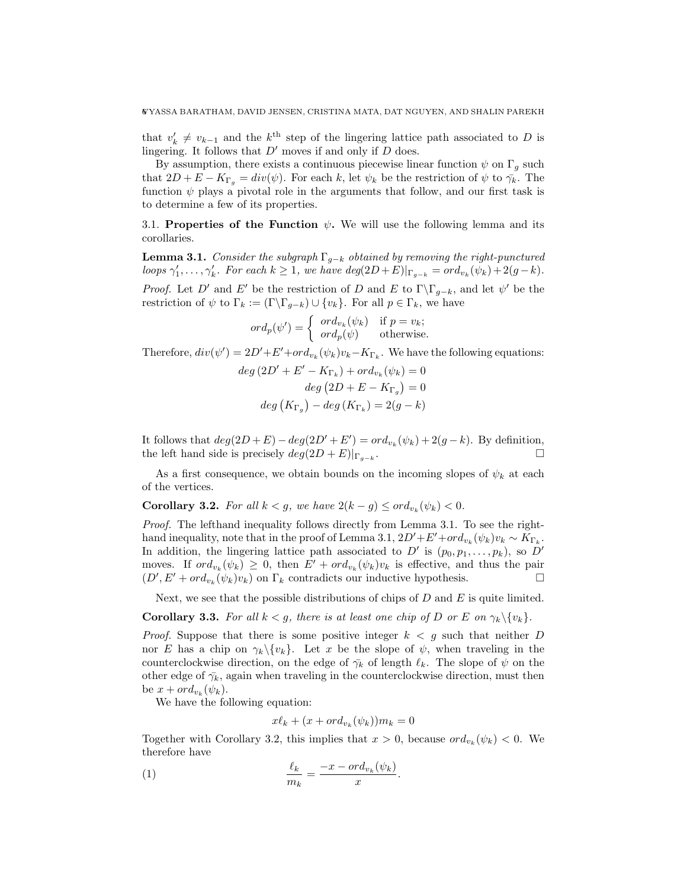that  $v'_{k} \neq v_{k-1}$  and the  $k^{\text{th}}$  step of the lingering lattice path associated to D is lingering. It follows that  $D'$  moves if and only if  $D$  does.

By assumption, there exists a continuous piecewise linear function  $\psi$  on  $\Gamma_g$  such that  $2D + E - K_{\Gamma_g} = div(\psi)$ . For each k, let  $\psi_k$  be the restriction of  $\psi$  to  $\bar{\gamma}_k$ . The function  $\psi$  plays a pivotal role in the arguments that follow, and our first task is to determine a few of its properties.

3.1. Properties of the Function  $\psi$ . We will use the following lemma and its corollaries.

**Lemma 3.1.** Consider the subgraph  $\Gamma_{g-k}$  obtained by removing the right-punctured loops  $\gamma'_1, \ldots, \gamma'_k$ . For each  $k \geq 1$ , we have  $deg(2D+E)|_{\Gamma_{g-k}} = ord_{v_k}(\psi_k) + 2(g-k)$ . *Proof.* Let D' and E' be the restriction of D and E to  $\Gamma \backslash \Gamma_{g-k}$ , and let  $\psi'$  be the restriction of  $\psi$  to  $\Gamma_k := (\Gamma \backslash \Gamma_{q-k}) \cup \{v_k\}$ . For all  $p \in \Gamma_k$ , we have

$$
ord_p(\psi') = \begin{cases} ord_{v_k}(\psi_k) & \text{if } p = v_k; \\ ord_p(\psi) & \text{otherwise.} \end{cases}
$$

Therefore,  $div(\psi') = 2D' + E' + ord_{v_k}(\psi_k)v_k - K_{\Gamma_k}$ . We have the following equations:

$$
deg (2D' + E' - K_{\Gamma_k}) + ord_{v_k}(\psi_k) = 0
$$
  

$$
deg (2D + E - K_{\Gamma_g}) = 0
$$
  

$$
deg (K_{\Gamma_g}) - deg (K_{\Gamma_k}) = 2(g - k)
$$

It follows that  $deg(2D+E) - deg(2D'+E') = ord_{v_k}(\psi_k) + 2(g-k)$ . By definition, the left hand side is precisely  $deg(2D + E)|_{\Gamma_{q-k}}$ . .

As a first consequence, we obtain bounds on the incoming slopes of  $\psi_k$  at each of the vertices.

**Corollary 3.2.** For all  $k < g$ , we have  $2(k - g) \leq \text{ord}_{v_k}(\psi_k) < 0$ .

Proof. The lefthand inequality follows directly from Lemma 3.1. To see the righthand inequality, note that in the proof of Lemma 3.1,  $2D' + E' + ord_{v_k}(\psi_k)v_k \sim K_{\Gamma_k}$ . In addition, the lingering lattice path associated to  $D'$  is  $(p_0, p_1, \ldots, p_k)$ , so  $D'$ moves. If  $ord_{v_k}(\psi_k) \geq 0$ , then  $E' + ord_{v_k}(\psi_k)v_k$  is effective, and thus the pair  $(D', E' + ord_{v_k}(\psi_k)v_k)$  on  $\Gamma_k$  contradicts our inductive hypothesis.

Next, we see that the possible distributions of chips of  $D$  and  $E$  is quite limited.

**Corollary 3.3.** For all  $k < g$ , there is at least one chip of D or E on  $\gamma_k \setminus \{v_k\}$ .

*Proof.* Suppose that there is some positive integer  $k < g$  such that neither D nor E has a chip on  $\gamma_k \setminus \{v_k\}$ . Let x be the slope of  $\psi$ , when traveling in the counterclockwise direction, on the edge of  $\bar{\gamma}_k$  of length  $\ell_k$ . The slope of  $\psi$  on the other edge of  $\bar{\gamma}_k$ , again when traveling in the counterclockwise direction, must then be  $x + ord_{v_k}(\psi_k)$ .

We have the following equation:

$$
x\ell_k + (x + ord_{v_k}(\psi_k))m_k = 0
$$

Together with Corollary 3.2, this implies that  $x > 0$ , because  $\partial d_{v_k}(\psi_k) < 0$ . We therefore have

.

$$
\frac{\ell_k}{m_k} = \frac{-x - ord_{v_k}(\psi_k)}{x}
$$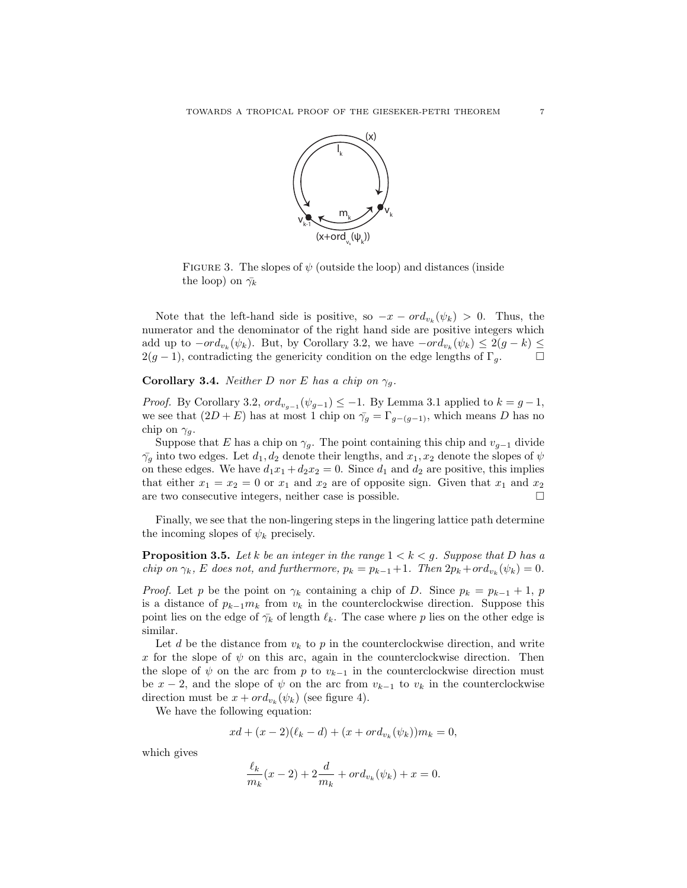

FIGURE 3. The slopes of  $\psi$  (outside the loop) and distances (inside the loop) on  $\bar{\gamma_k}$ 

Note that the left-hand side is positive, so  $-x - ord_{v_k}(\psi_k) > 0$ . Thus, the numerator and the denominator of the right hand side are positive integers which add up to  $-ord_{v_k}(\psi_k)$ . But, by Corollary 3.2, we have  $-ord_{v_k}(\psi_k) \leq 2(g-k) \leq$  $2(g-1)$ , contradicting the genericity condition on the edge lengths of  $\Gamma_g$ .  $\Box$ 

**Corollary 3.4.** Neither D nor E has a chip on  $\gamma_q$ .

*Proof.* By Corollary 3.2,  $ord_{v_{g-1}}(\psi_{g-1}) \leq -1$ . By Lemma 3.1 applied to  $k = g-1$ , we see that  $(2D + E)$  has at most 1 chip on  $\overline{\gamma}_g = \Gamma_{g-(g-1)}$ , which means D has no chip on  $\gamma_g$ .

Suppose that E has a chip on  $\gamma_g$ . The point containing this chip and  $v_{g-1}$  divide  $\bar{\gamma}_g$  into two edges. Let  $d_1, d_2$  denote their lengths, and  $x_1, x_2$  denote the slopes of  $\psi$ on these edges. We have  $d_1x_1 + d_2x_2 = 0$ . Since  $d_1$  and  $d_2$  are positive, this implies that either  $x_1 = x_2 = 0$  or  $x_1$  and  $x_2$  are of opposite sign. Given that  $x_1$  and  $x_2$ are two consecutive integers, neither case is possible.

Finally, we see that the non-lingering steps in the lingering lattice path determine the incoming slopes of  $\psi_k$  precisely.

**Proposition 3.5.** Let k be an integer in the range  $1 < k < g$ . Suppose that D has a chip on  $\gamma_k$ , E does not, and furthermore,  $p_k = p_{k-1} + 1$ . Then  $2p_k + ord_{v_k}(\psi_k) = 0$ .

*Proof.* Let p be the point on  $\gamma_k$  containing a chip of D. Since  $p_k = p_{k-1} + 1$ , p is a distance of  $p_{k-1}m_k$  from  $v_k$  in the counterclockwise direction. Suppose this point lies on the edge of  $\bar{\gamma}_k$  of length  $\ell_k$ . The case where p lies on the other edge is similar.

Let d be the distance from  $v_k$  to p in the counterclockwise direction, and write x for the slope of  $\psi$  on this arc, again in the counterclockwise direction. Then the slope of  $\psi$  on the arc from p to  $v_{k-1}$  in the counterclockwise direction must be  $x - 2$ , and the slope of  $\psi$  on the arc from  $v_{k-1}$  to  $v_k$  in the counterclockwise direction must be  $x + ord_{v_k}(\psi_k)$  (see figure 4).

We have the following equation:

$$
x\, + (x - 2)(\ell_k - d) + (x + ord_{v_k}(\psi_k))m_k = 0,
$$

which gives

$$
\frac{\ell_k}{m_k}(x-2) + 2\frac{d}{m_k} + ord_{v_k}(\psi_k) + x = 0.
$$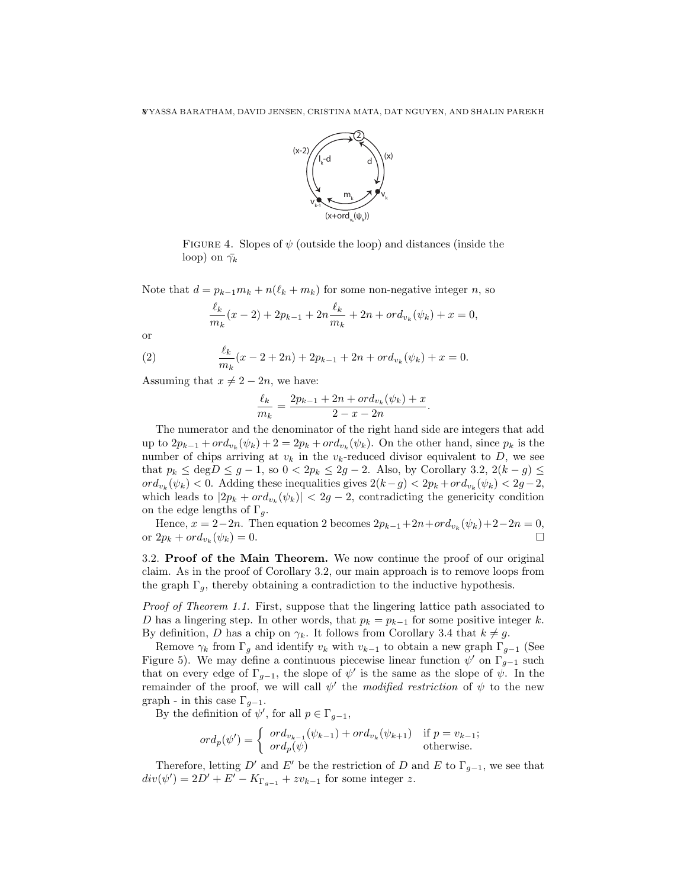

FIGURE 4. Slopes of  $\psi$  (outside the loop) and distances (inside the loop) on  $\bar{\gamma_k}$ 

Note that  $d = p_{k-1}m_k + n(\ell_k + m_k)$  for some non-negative integer n, so

$$
\frac{\ell_k}{m_k}(x-2) + 2p_{k-1} + 2n \frac{\ell_k}{m_k} + 2n + ord_{v_k}(\psi_k) + x = 0,
$$

or

(2) 
$$
\frac{\ell_k}{m_k}(x-2+2n)+2p_{k-1}+2n+ord_{v_k}(\psi_k)+x=0.
$$

Assuming that  $x \neq 2 - 2n$ , we have:

$$
\frac{\ell_k}{m_k} = \frac{2p_{k-1} + 2n + ord_{v_k}(\psi_k) + x}{2 - x - 2n}
$$

.

The numerator and the denominator of the right hand side are integers that add up to  $2p_{k-1} + ord_{v_k}(\psi_k) + 2 = 2p_k + ord_{v_k}(\psi_k)$ . On the other hand, since  $p_k$  is the number of chips arriving at  $v_k$  in the  $v_k$ -reduced divisor equivalent to D, we see that  $p_k \le \text{deg} D \le g - 1$ , so  $0 < 2p_k \le 2g - 2$ . Also, by Corollary 3.2,  $2(k - g) \le$  $ord_{v_k}(\psi_k) < 0.$  Adding these inequalities gives  $2(k-g) < 2p_k + ord_{v_k}(\psi_k) < 2g-2$ , which leads to  $|2p_k + ord_{v_k}(\psi_k)| < 2g - 2$ , contradicting the genericity condition on the edge lengths of  $\Gamma_g$ .

Hence,  $x = 2-2n$ . Then equation 2 becomes  $2p_{k-1} + 2n + ord_{v_k}(\psi_k) + 2-2n = 0$ , or  $2p_k + ord_{v_k}(\psi_k) = 0.$  $(\psi_k) = 0.$ 

3.2. Proof of the Main Theorem. We now continue the proof of our original claim. As in the proof of Corollary 3.2, our main approach is to remove loops from the graph  $\Gamma_g$ , thereby obtaining a contradiction to the inductive hypothesis.

Proof of Theorem 1.1. First, suppose that the lingering lattice path associated to D has a lingering step. In other words, that  $p_k = p_{k-1}$  for some positive integer k. By definition, D has a chip on  $\gamma_k$ . It follows from Corollary 3.4 that  $k \neq g$ .

Remove  $\gamma_k$  from  $\Gamma_q$  and identify  $v_k$  with  $v_{k-1}$  to obtain a new graph  $\Gamma_{q-1}$  (See Figure 5). We may define a continuous piecewise linear function  $\psi'$  on  $\Gamma_{g-1}$  such that on every edge of  $\Gamma_{g-1}$ , the slope of  $\psi'$  is the same as the slope of  $\psi$ . In the remainder of the proof, we will call  $\psi'$  the modified restriction of  $\psi$  to the new graph - in this case  $\Gamma_{q-1}$ .

By the definition of  $\psi'$ , for all  $p \in \Gamma_{g-1}$ ,

$$
ord_p(\psi') = \begin{cases} ord_{v_{k-1}}(\psi_{k-1}) + ord_{v_k}(\psi_{k+1}) & \text{if } p = v_{k-1}; \\ ord_p(\psi) & \text{otherwise.} \end{cases}
$$

Therefore, letting D' and E' be the restriction of D and E to  $\Gamma_{g-1}$ , we see that  $div(\psi') = 2D' + E' - K_{\Gamma_{g-1}} + zv_{k-1}$  for some integer z.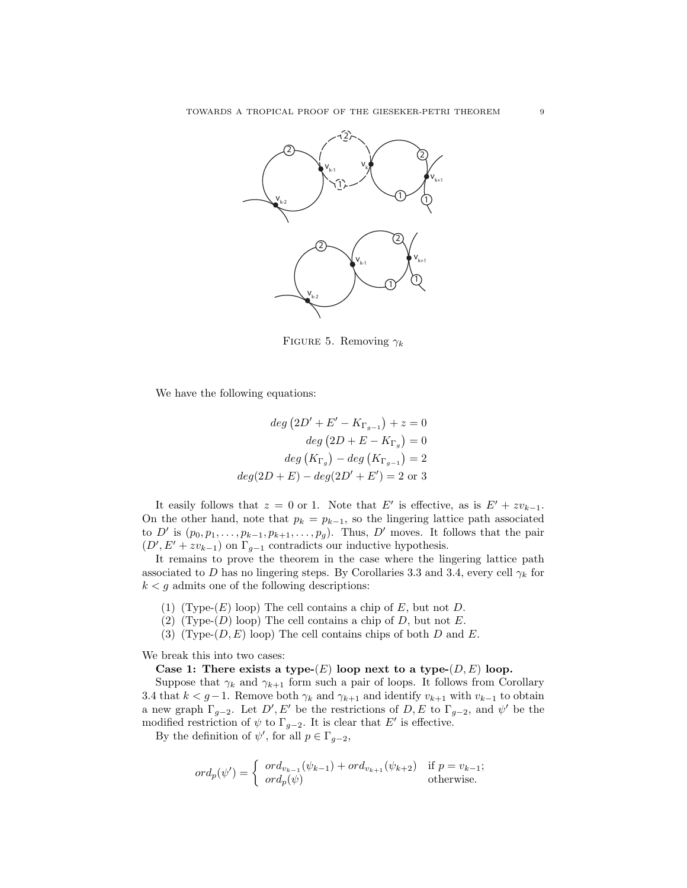

FIGURE 5. Removing  $\gamma_k$ 

We have the following equations:

$$
deg (2D' + E' - K_{\Gamma_{g-1}}) + z = 0
$$
  

$$
deg (2D + E - K_{\Gamma_g}) = 0
$$
  

$$
deg (K_{\Gamma_g}) - deg (K_{\Gamma_{g-1}}) = 2
$$
  

$$
deg(2D + E) - deg(2D' + E') = 2 \text{ or } 3
$$

It easily follows that  $z = 0$  or 1. Note that E' is effective, as is  $E' + zv_{k-1}$ . On the other hand, note that  $p_k = p_{k-1}$ , so the lingering lattice path associated to D' is  $(p_0, p_1, \ldots, p_{k-1}, p_{k+1}, \ldots, p_g)$ . Thus, D' moves. It follows that the pair  $(D', E' + zv_{k-1})$  on  $\Gamma_{g-1}$  contradicts our inductive hypothesis.

It remains to prove the theorem in the case where the lingering lattice path associated to D has no lingering steps. By Corollaries 3.3 and 3.4, every cell  $\gamma_k$  for  $k < g$  admits one of the following descriptions:

- (1) (Type- $(E)$  loop) The cell contains a chip of E, but not D.
- (2) (Type- $(D)$  loop) The cell contains a chip of D, but not E.
- (3) (Type- $(D, E)$  loop) The cell contains chips of both D and E.

We break this into two cases:

Case 1: There exists a type- $(E)$  loop next to a type- $(D, E)$  loop.

Suppose that  $\gamma_k$  and  $\gamma_{k+1}$  form such a pair of loops. It follows from Corollary 3.4 that  $k < g-1$ . Remove both  $\gamma_k$  and  $\gamma_{k+1}$  and identify  $v_{k+1}$  with  $v_{k-1}$  to obtain a new graph  $\Gamma_{g-2}$ . Let D', E' be the restrictions of D, E to  $\Gamma_{g-2}$ , and  $\psi'$  be the modified restriction of  $\psi$  to  $\Gamma_{g-2}$ . It is clear that E' is effective.

By the definition of  $\psi'$ , for all  $p \in \Gamma_{g-2}$ ,

$$
ord_p(\psi') = \begin{cases} ord_{v_{k-1}}(\psi_{k-1}) + ord_{v_{k+1}}(\psi_{k+2}) & \text{if } p = v_{k-1}; \\ ord_p(\psi) & \text{otherwise.} \end{cases}
$$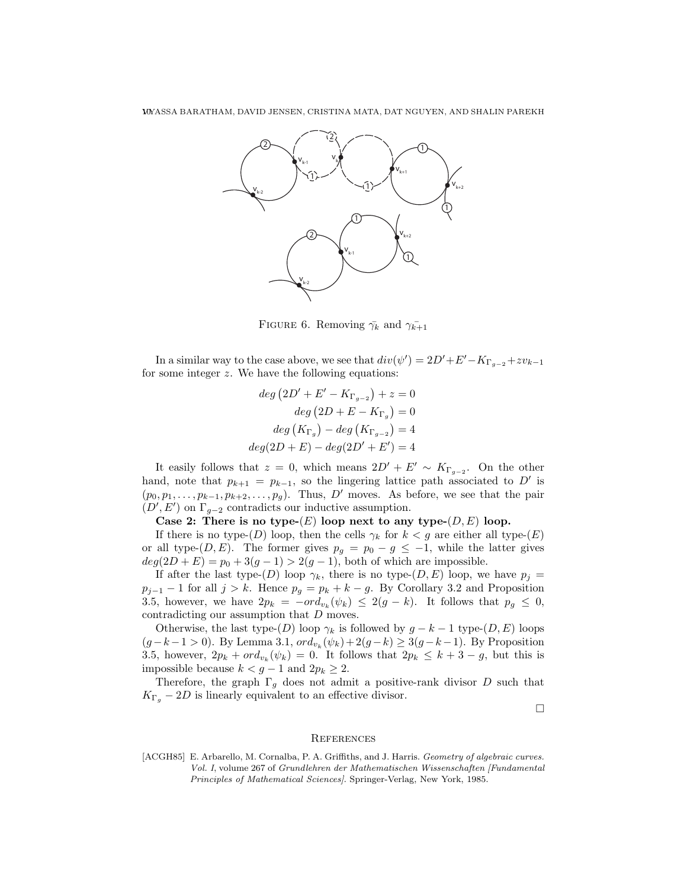

FIGURE 6. Removing  $\bar{\gamma_k}$  and  $\bar{\gamma_{k+1}}$ 

In a similar way to the case above, we see that  $div(\psi') = 2D' + E' - K_{\Gamma_{g-2}} + zv_{k-1}$ for some integer z. We have the following equations:

$$
deg (2D' + E' - K_{\Gamma_{g-2}}) + z = 0
$$
  

$$
deg (2D + E - K_{\Gamma_g}) = 0
$$
  

$$
deg (K_{\Gamma_g}) - deg (K_{\Gamma_{g-2}}) = 4
$$
  

$$
deg(2D + E) - deg(2D' + E') = 4
$$

It easily follows that  $z = 0$ , which means  $2D' + E' \sim K_{\Gamma_{g-2}}$ . On the other hand, note that  $p_{k+1} = p_{k-1}$ , so the lingering lattice path associated to D' is  $(p_0, p_1, \ldots, p_{k-1}, p_{k+2}, \ldots, p_g)$ . Thus, D' moves. As before, we see that the pair  $(D', E')$  on  $\Gamma_{g-2}$  contradicts our inductive assumption.

Case 2: There is no type- $(E)$  loop next to any type- $(D, E)$  loop.

If there is no type- $(D)$  loop, then the cells  $\gamma_k$  for  $k < g$  are either all type- $(E)$ or all type- $(D, E)$ . The former gives  $p_g = p_0 - g \le -1$ , while the latter gives  $deg(2D + E) = p_0 + 3(g - 1) > 2(g - 1)$ , both of which are impossible.

If after the last type- $(D)$  loop  $\gamma_k$ , there is no type- $(D, E)$  loop, we have  $p_j =$  $p_{j-1} - 1$  for all  $j > k$ . Hence  $p_g = p_k + k - g$ . By Corollary 3.2 and Proposition 3.5, however, we have  $2p_k = -\frac{\partial u_k(\psi_k)}{\partial s} \leq 2(g-k)$ . It follows that  $p_g \leq 0$ , contradicting our assumption that D moves.

Otherwise, the last type- $(D)$  loop  $\gamma_k$  is followed by  $g - k - 1$  type- $(D, E)$  loops  $(g - k - 1 > 0)$ . By Lemma 3.1,  $ord_{v_k}(\psi_k) + 2(g - k) \ge 3(g - k - 1)$ . By Proposition 3.5, however,  $2p_k + ord_{v_k}(\psi_k) = 0$ . It follows that  $2p_k \leq k+3-g$ , but this is impossible because  $k < g - 1$  and  $2p_k \geq 2$ .

Therefore, the graph  $\Gamma_q$  does not admit a positive-rank divisor D such that  $K_{\Gamma_q}$  – 2D is linearly equivalent to an effective divisor.

 $\Box$ 

#### **REFERENCES**

[ACGH85] E. Arbarello, M. Cornalba, P. A. Griffiths, and J. Harris. Geometry of algebraic curves. Vol. I, volume 267 of Grundlehren der Mathematischen Wissenschaften [Fundamental Principles of Mathematical Sciences]. Springer-Verlag, New York, 1985.